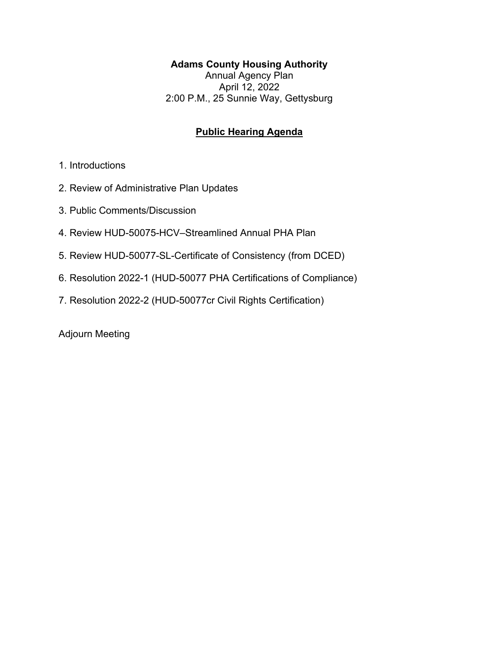## **Adams County Housing Authority**

Annual Agency Plan April 12, 2022 2:00 P.M., 25 Sunnie Way, Gettysburg

## **Public Hearing Agenda**

- 1. Introductions
- 2. Review of Administrative Plan Updates
- 3. Public Comments/Discussion
- 4. Review HUD-50075-HCV–Streamlined Annual PHA Plan
- 5. Review HUD-50077-SL-Certificate of Consistency (from DCED)
- 6. Resolution 2022-1 (HUD-50077 PHA Certifications of Compliance)
- 7. Resolution 2022-2 (HUD-50077cr Civil Rights Certification)

Adjourn Meeting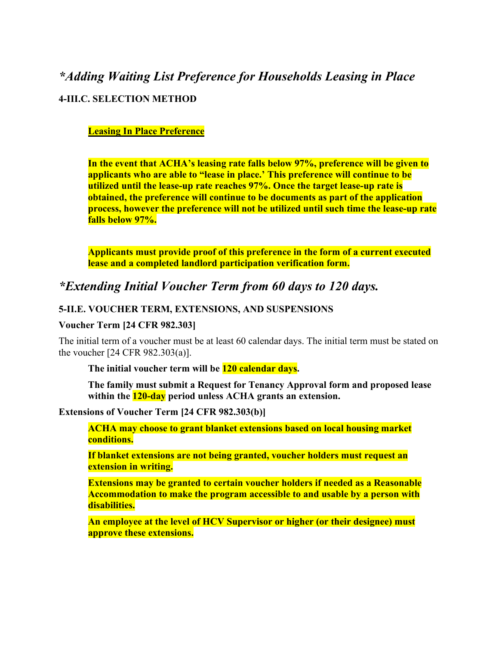# *\*Adding Waiting List Preference for Households Leasing in Place* **4-III.C. SELECTION METHOD**

#### **Leasing In Place Preference**

**In the event that ACHA's leasing rate falls below 97%, preference will be given to applicants who are able to "lease in place.' This preference will continue to be utilized until the lease-up rate reaches 97%. Once the target lease-up rate is obtained, the preference will continue to be documents as part of the application process, however the preference will not be utilized until such time the lease-up rate falls below 97%.**

**Applicants must provide proof of this preference in the form of a current executed lease and a completed landlord participation verification form.**

## *\*Extending Initial Voucher Term from 60 days to 120 days.*

#### **5-II.E. VOUCHER TERM, EXTENSIONS, AND SUSPENSIONS**

#### **Voucher Term [24 CFR 982.303]**

The initial term of a voucher must be at least 60 calendar days. The initial term must be stated on the voucher [24 CFR 982.303(a)].

**The initial voucher term will be 120 calendar days.**

**The family must submit a Request for Tenancy Approval form and proposed lease within the 120-day period unless ACHA grants an extension.**

#### **Extensions of Voucher Term [24 CFR 982.303(b)]**

**ACHA may choose to grant blanket extensions based on local housing market conditions.** 

**If blanket extensions are not being granted, voucher holders must request an extension in writing.**

**Extensions may be granted to certain voucher holders if needed as a Reasonable Accommodation to make the program accessible to and usable by a person with disabilities.** 

**An employee at the level of HCV Supervisor or higher (or their designee) must approve these extensions.**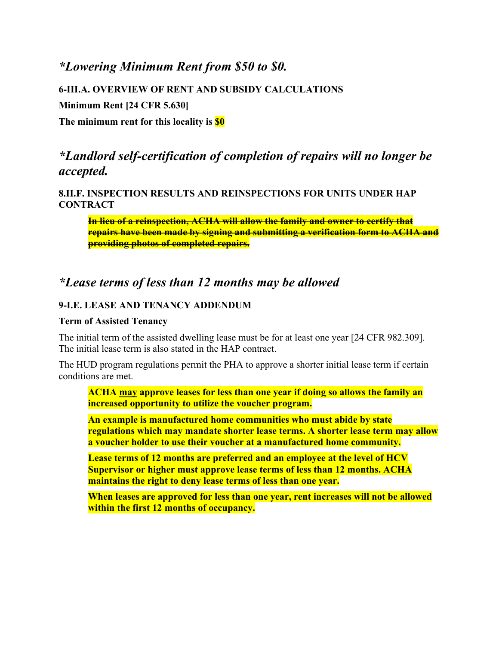## *\*Lowering Minimum Rent from \$50 to \$0.*

**6-III.A. OVERVIEW OF RENT AND SUBSIDY CALCULATIONS**

**Minimum Rent [24 CFR 5.630]**

**The minimum rent for this locality is \$0**

## *\*Landlord self-certification of completion of repairs will no longer be accepted.*

**8.II.F. INSPECTION RESULTS AND REINSPECTIONS FOR UNITS UNDER HAP CONTRACT**

**In lieu of a reinspection, ACHA will allow the family and owner to certify that repairs have been made by signing and submitting a verification form to ACHA and providing photos of completed repairs.**

## *\*Lease terms of less than 12 months may be allowed*

#### **9-I.E. LEASE AND TENANCY ADDENDUM**

#### **Term of Assisted Tenancy**

The initial term of the assisted dwelling lease must be for at least one year [24 CFR 982.309]. The initial lease term is also stated in the HAP contract.

The HUD program regulations permit the PHA to approve a shorter initial lease term if certain conditions are met.

**ACHA may approve leases for less than one year if doing so allows the family an increased opportunity to utilize the voucher program.** 

**An example is manufactured home communities who must abide by state regulations which may mandate shorter lease terms. A shorter lease term may allow a voucher holder to use their voucher at a manufactured home community.**

**Lease terms of 12 months are preferred and an employee at the level of HCV Supervisor or higher must approve lease terms of less than 12 months. ACHA maintains the right to deny lease terms of less than one year.**

**When leases are approved for less than one year, rent increases will not be allowed within the first 12 months of occupancy.**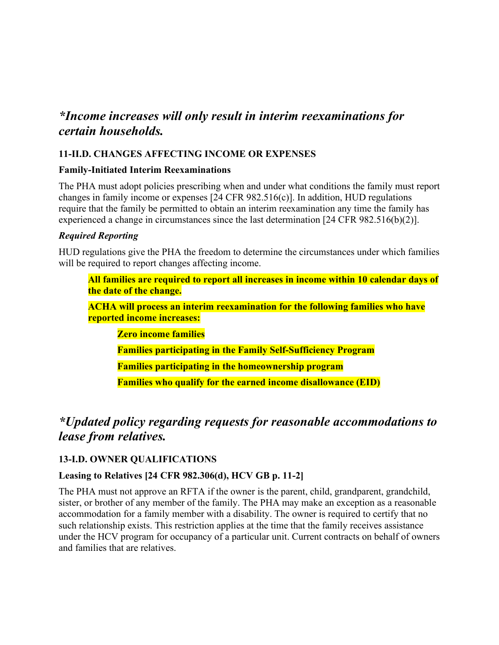## *\*Income increases will only result in interim reexaminations for certain households.*

### **11-II.D. CHANGES AFFECTING INCOME OR EXPENSES**

#### **Family-Initiated Interim Reexaminations**

The PHA must adopt policies prescribing when and under what conditions the family must report changes in family income or expenses [24 CFR 982.516(c)]. In addition, HUD regulations require that the family be permitted to obtain an interim reexamination any time the family has experienced a change in circumstances since the last determination [24 CFR 982.516(b)(2)].

#### *Required Reporting*

HUD regulations give the PHA the freedom to determine the circumstances under which families will be required to report changes affecting income.

**All families are required to report all increases in income within 10 calendar days of the date of the change.** 

**ACHA will process an interim reexamination for the following families who have reported income increases:**

**Zero income families**

**Families participating in the Family Self-Sufficiency Program**

**Families participating in the homeownership program**

**Families who qualify for the earned income disallowance (EID)**

# *\*Updated policy regarding requests for reasonable accommodations to lease from relatives.*

### **13-I.D. OWNER QUALIFICATIONS**

### **Leasing to Relatives [24 CFR 982.306(d), HCV GB p. 11-2]**

The PHA must not approve an RFTA if the owner is the parent, child, grandparent, grandchild, sister, or brother of any member of the family. The PHA may make an exception as a reasonable accommodation for a family member with a disability. The owner is required to certify that no such relationship exists. This restriction applies at the time that the family receives assistance under the HCV program for occupancy of a particular unit. Current contracts on behalf of owners and families that are relatives.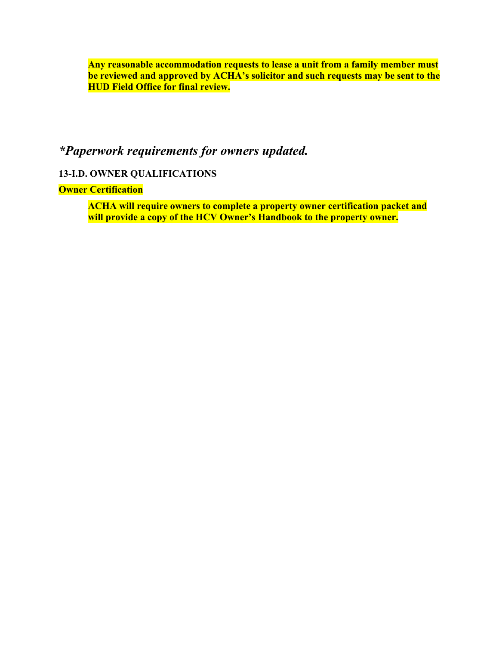**Any reasonable accommodation requests to lease a unit from a family member must be reviewed and approved by ACHA's solicitor and such requests may be sent to the HUD Field Office for final review.**

# *\*Paperwork requirements for owners updated.*

### **13-I.D. OWNER QUALIFICATIONS**

**Owner Certification**

**ACHA will require owners to complete a property owner certification packet and will provide a copy of the HCV Owner's Handbook to the property owner.**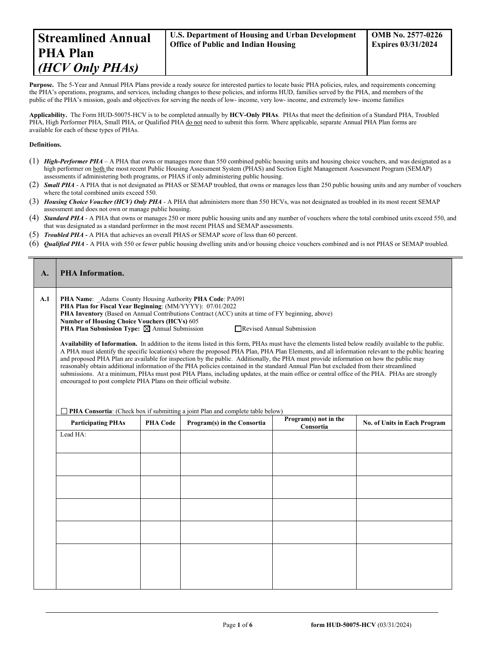Purpose. The 5-Year and Annual PHA Plans provide a ready source for interested parties to locate basic PHA policies, rules, and requirements concerning the PHA's operations, programs, and services, including changes to these policies, and informs HUD, families served by the PHA, and members of the public of the PHA's mission, goals and objectives for serving the needs of low- income, very low- income, and extremely low- income families

**Applicability.** The Form HUD-50075-HCV is to be completed annually by **HCV-Only PHAs**. PHAs that meet the definition of a Standard PHA, Troubled PHA, High Performer PHA, Small PHA, or Qualified PHA do not need to submit this form. Where applicable, separate Annual PHA Plan forms are available for each of these types of PHAs.

#### **Definitions.**

 $\blacksquare$ 

- (1) *High-Performer PHA* A PHA that owns or manages more than 550 combined public housing units and housing choice vouchers, and was designated as a high performer on both the most recent Public Housing Assessment System (PHAS) and Section Eight Management Assessment Program (SEMAP) assessments if administering both programs, or PHAS if only administering public housing.
- (2) *Small PHA* A PHA that is not designated as PHAS or SEMAP troubled, that owns or manages less than 250 public housing units and any number of vouchers where the total combined units exceed 550.
- (3) *Housing Choice Voucher (HCV) Only PHA* A PHA that administers more than 550 HCVs, was not designated as troubled in its most recent SEMAP assessment and does not own or manage public housing.
- (4) *Standard PHA* A PHA that owns or manages 250 or more public housing units and any number of vouchers where the total combined units exceed 550, and that was designated as a standard performer in the most recent PHAS and SEMAP assessments.
- (5) *Troubled PHA* **-** A PHA that achieves an overall PHAS or SEMAP score of less than 60 percent.
- (6) *Qualified PHA* A PHA with 550 or fewer public housing dwelling units and/or housing choice vouchers combined and is not PHAS or SEMAP troubled.

| A.  | <b>PHA Information.</b>                                                                                                                                                                                                                                                                                                                                                                                                                                                                                                                                                                                                                                                                                                                                                                                                                                                                                                                                                                                                                                                                                                                                                                                                                                                                    |                 |                             |                                    |                              |  |  |  |  |
|-----|--------------------------------------------------------------------------------------------------------------------------------------------------------------------------------------------------------------------------------------------------------------------------------------------------------------------------------------------------------------------------------------------------------------------------------------------------------------------------------------------------------------------------------------------------------------------------------------------------------------------------------------------------------------------------------------------------------------------------------------------------------------------------------------------------------------------------------------------------------------------------------------------------------------------------------------------------------------------------------------------------------------------------------------------------------------------------------------------------------------------------------------------------------------------------------------------------------------------------------------------------------------------------------------------|-----------------|-----------------------------|------------------------------------|------------------------------|--|--|--|--|
| A.1 | PHA Name: Adams County Housing Authority PHA Code: PA091<br>PHA Plan for Fiscal Year Beginning: (MM/YYYY): 07/01/2022<br>PHA Inventory (Based on Annual Contributions Contract (ACC) units at time of FY beginning, above)<br><b>Number of Housing Choice Vouchers (HCVs) 605</b><br><b>PHA Plan Submission Type:</b> $\boxtimes$ Annual Submission<br>Revised Annual Submission<br>Availability of Information. In addition to the items listed in this form, PHAs must have the elements listed below readily available to the public.<br>A PHA must identify the specific location(s) where the proposed PHA Plan, PHA Plan Elements, and all information relevant to the public hearing<br>and proposed PHA Plan are available for inspection by the public. Additionally, the PHA must provide information on how the public may<br>reasonably obtain additional information of the PHA policies contained in the standard Annual Plan but excluded from their streamlined<br>submissions. At a minimum, PHAs must post PHA Plans, including updates, at the main office or central office of the PHA. PHAs are strongly<br>encouraged to post complete PHA Plans on their official website.<br>$\Box$ PHA Consortia: (Check box if submitting a joint Plan and complete table below) |                 |                             |                                    |                              |  |  |  |  |
|     | <b>Participating PHAs</b>                                                                                                                                                                                                                                                                                                                                                                                                                                                                                                                                                                                                                                                                                                                                                                                                                                                                                                                                                                                                                                                                                                                                                                                                                                                                  | <b>PHA Code</b> | Program(s) in the Consortia | Program(s) not in the<br>Consortia | No. of Units in Each Program |  |  |  |  |
|     | Lead HA:                                                                                                                                                                                                                                                                                                                                                                                                                                                                                                                                                                                                                                                                                                                                                                                                                                                                                                                                                                                                                                                                                                                                                                                                                                                                                   |                 |                             |                                    |                              |  |  |  |  |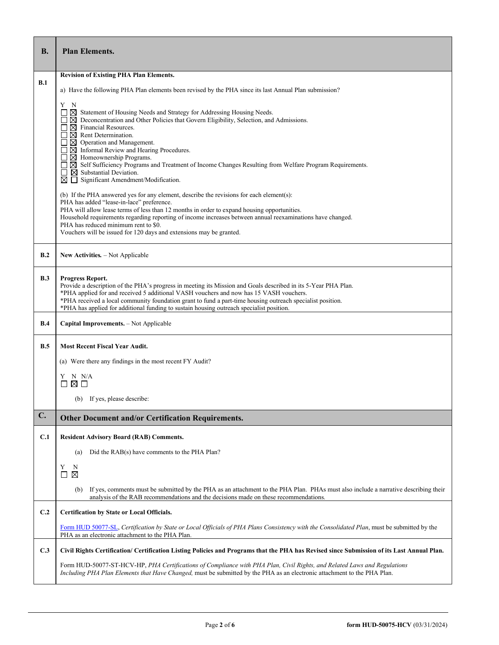| <b>B.</b> | <b>Plan Elements.</b>                                                                                                                                                                                                                                                                                                                                                                                                                  |  |  |  |  |  |
|-----------|----------------------------------------------------------------------------------------------------------------------------------------------------------------------------------------------------------------------------------------------------------------------------------------------------------------------------------------------------------------------------------------------------------------------------------------|--|--|--|--|--|
|           | <b>Revision of Existing PHA Plan Elements.</b>                                                                                                                                                                                                                                                                                                                                                                                         |  |  |  |  |  |
| B.1       | a) Have the following PHA Plan elements been revised by the PHA since its last Annual Plan submission?                                                                                                                                                                                                                                                                                                                                 |  |  |  |  |  |
|           | Y<br>N<br>$\boxtimes$ Statement of Housing Needs and Strategy for Addressing Housing Needs.                                                                                                                                                                                                                                                                                                                                            |  |  |  |  |  |
|           | $\boxtimes$ Deconcentration and Other Policies that Govern Eligibility, Selection, and Admissions.<br>$\boxtimes$ Financial Resources.<br>$\boxtimes$ Rent Determination.<br>$\boxtimes$ Operation and Management.                                                                                                                                                                                                                     |  |  |  |  |  |
|           | $\boxtimes$ Informal Review and Hearing Procedures.<br>$\boxtimes$ Homeownership Programs.<br>⊠ Self Sufficiency Programs and Treatment of Income Changes Resulting from Welfare Program Requirements.<br>□                                                                                                                                                                                                                            |  |  |  |  |  |
|           | $\boxtimes$ Substantial Deviation.<br>$\Box$<br>Significant Amendment/Modification.<br>⊠                                                                                                                                                                                                                                                                                                                                               |  |  |  |  |  |
|           | (b) If the PHA answered yes for any element, describe the revisions for each element(s):<br>PHA has added "lease-in-lace" preference.<br>PHA will allow lease terms of less than 12 months in order to expand housing opportunities.                                                                                                                                                                                                   |  |  |  |  |  |
|           | Household requirements regarding reporting of income increases between annual reexaminations have changed.<br>PHA has reduced minimum rent to \$0.                                                                                                                                                                                                                                                                                     |  |  |  |  |  |
|           | Vouchers will be issued for 120 days and extensions may be granted.                                                                                                                                                                                                                                                                                                                                                                    |  |  |  |  |  |
| B.2       | <b>New Activities.</b> – Not Applicable                                                                                                                                                                                                                                                                                                                                                                                                |  |  |  |  |  |
| B.3       | Progress Report.<br>Provide a description of the PHA's progress in meeting its Mission and Goals described in its 5-Year PHA Plan.<br>*PHA applied for and received 5 additional VASH vouchers and now has 15 VASH vouchers.<br>*PHA received a local community foundation grant to fund a part-time housing outreach specialist position.<br>*PHA has applied for additional funding to sustain housing outreach specialist position. |  |  |  |  |  |
| B.4       | Capital Improvements. - Not Applicable                                                                                                                                                                                                                                                                                                                                                                                                 |  |  |  |  |  |
| B.5       | <b>Most Recent Fiscal Year Audit.</b>                                                                                                                                                                                                                                                                                                                                                                                                  |  |  |  |  |  |
|           | (a) Were there any findings in the most recent FY Audit?                                                                                                                                                                                                                                                                                                                                                                               |  |  |  |  |  |
|           | N N/A<br>Y<br>⊠ □                                                                                                                                                                                                                                                                                                                                                                                                                      |  |  |  |  |  |
|           | (b) If yes, please describe:                                                                                                                                                                                                                                                                                                                                                                                                           |  |  |  |  |  |
| C.        | <b>Other Document and/or Certification Requirements.</b>                                                                                                                                                                                                                                                                                                                                                                               |  |  |  |  |  |
| C.1       | <b>Resident Advisory Board (RAB) Comments.</b>                                                                                                                                                                                                                                                                                                                                                                                         |  |  |  |  |  |
|           | Did the RAB(s) have comments to the PHA Plan?<br>(a)                                                                                                                                                                                                                                                                                                                                                                                   |  |  |  |  |  |
|           | Y<br>N<br>$\boxtimes$<br>ப                                                                                                                                                                                                                                                                                                                                                                                                             |  |  |  |  |  |
|           | If yes, comments must be submitted by the PHA as an attachment to the PHA Plan. PHAs must also include a narrative describing their<br>(b)<br>analysis of the RAB recommendations and the decisions made on these recommendations.                                                                                                                                                                                                     |  |  |  |  |  |
| C.2       | <b>Certification by State or Local Officials.</b>                                                                                                                                                                                                                                                                                                                                                                                      |  |  |  |  |  |
|           | Form HUD 50077-SL, Certification by State or Local Officials of PHA Plans Consistency with the Consolidated Plan, must be submitted by the<br>PHA as an electronic attachment to the PHA Plan.                                                                                                                                                                                                                                         |  |  |  |  |  |
| C.3       | Civil Rights Certification/ Certification Listing Policies and Programs that the PHA has Revised since Submission of its Last Annual Plan.                                                                                                                                                                                                                                                                                             |  |  |  |  |  |
|           | Form HUD-50077-ST-HCV-HP, PHA Certifications of Compliance with PHA Plan, Civil Rights, and Related Laws and Regulations<br>Including PHA Plan Elements that Have Changed, must be submitted by the PHA as an electronic attachment to the PHA Plan.                                                                                                                                                                                   |  |  |  |  |  |

r

T

Ť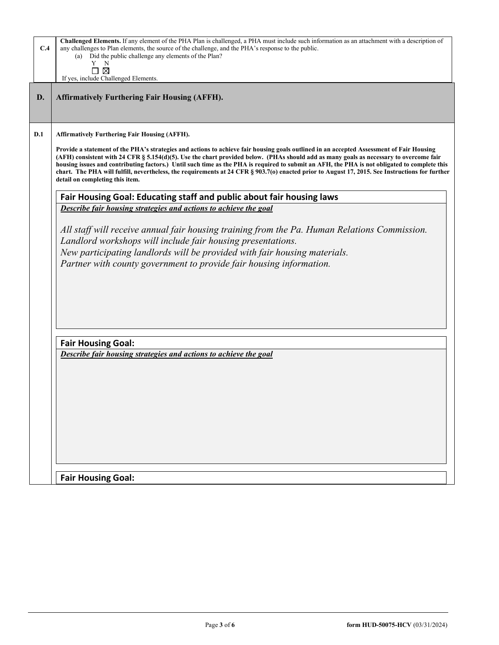| C.4 | Challenged Elements. If any element of the PHA Plan is challenged, a PHA must include such information as an attachment with a description of<br>any challenges to Plan elements, the source of the challenge, and the PHA's response to the public.<br>Did the public challenge any elements of the Plan?<br>(a)                                                                                                                                                                                                                                                                                                        |
|-----|--------------------------------------------------------------------------------------------------------------------------------------------------------------------------------------------------------------------------------------------------------------------------------------------------------------------------------------------------------------------------------------------------------------------------------------------------------------------------------------------------------------------------------------------------------------------------------------------------------------------------|
|     | N<br>Y<br>⊠<br>If yes, include Challenged Elements.                                                                                                                                                                                                                                                                                                                                                                                                                                                                                                                                                                      |
| D.  | <b>Affirmatively Furthering Fair Housing (AFFH).</b>                                                                                                                                                                                                                                                                                                                                                                                                                                                                                                                                                                     |
| D.1 | <b>Affirmatively Furthering Fair Housing (AFFH).</b>                                                                                                                                                                                                                                                                                                                                                                                                                                                                                                                                                                     |
|     | Provide a statement of the PHA's strategies and actions to achieve fair housing goals outlined in an accepted Assessment of Fair Housing<br>(AFH) consistent with 24 CFR § 5.154(d)(5). Use the chart provided below. (PHAs should add as many goals as necessary to overcome fair<br>housing issues and contributing factors.) Until such time as the PHA is required to submit an AFH, the PHA is not obligated to complete this<br>chart. The PHA will fulfill, nevertheless, the requirements at 24 CFR § 903.7(o) enacted prior to August 17, 2015. See Instructions for further<br>detail on completing this item. |
|     | Fair Housing Goal: Educating staff and public about fair housing laws                                                                                                                                                                                                                                                                                                                                                                                                                                                                                                                                                    |
|     | Describe fair housing strategies and actions to achieve the goal                                                                                                                                                                                                                                                                                                                                                                                                                                                                                                                                                         |
|     | All staff will receive annual fair housing training from the Pa. Human Relations Commission.<br>Landlord workshops will include fair housing presentations.<br>New participating landlords will be provided with fair housing materials.<br>Partner with county government to provide fair housing information.                                                                                                                                                                                                                                                                                                          |
|     | <b>Fair Housing Goal:</b>                                                                                                                                                                                                                                                                                                                                                                                                                                                                                                                                                                                                |
|     | Describe fair housing strategies and actions to achieve the goal                                                                                                                                                                                                                                                                                                                                                                                                                                                                                                                                                         |
|     |                                                                                                                                                                                                                                                                                                                                                                                                                                                                                                                                                                                                                          |
|     | <b>Fair Housing Goal:</b>                                                                                                                                                                                                                                                                                                                                                                                                                                                                                                                                                                                                |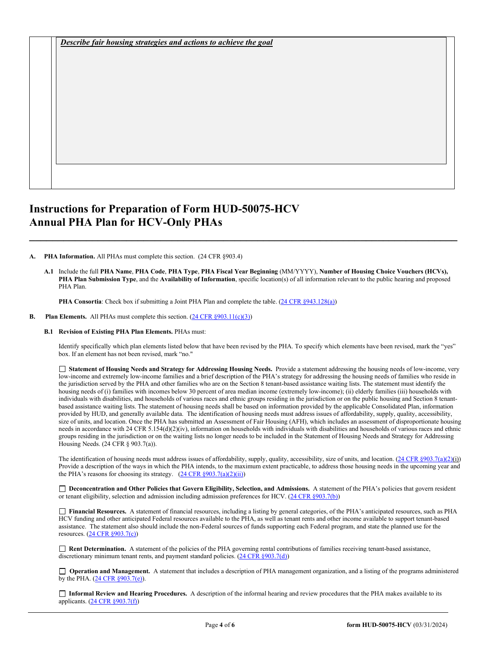*Describe fair housing strategies and actions to achieve the goal* 

## **Instructions for Preparation of Form HUD-50075-HCV Annual PHA Plan for HCV-Only PHAs**

**A. PHA Information.** All PHAs must complete this section. (24 CFR §903.4)

**A.1** Include the full **PHA Name**, **PHA Code**, **PHA Type**, **PHA Fiscal Year Beginning** (MM/YYYY), **Number of Housing Choice Vouchers (HCVs), PHA Plan Submission Type**, and the **Availability of Information**, specific location(s) of all information relevant to the public hearing and proposed PHA Plan.

**\_\_\_\_\_\_\_\_\_\_\_\_\_\_\_\_\_\_\_\_\_\_\_\_\_\_\_\_\_\_\_\_\_\_\_\_\_\_\_\_\_\_\_\_\_\_\_\_\_\_\_\_\_\_\_\_\_\_\_\_\_\_\_\_\_\_\_\_\_\_\_\_\_\_\_**

**PHA Consortia**: Check box if submitting a Joint PHA Plan and complete the table. [\(24 CFR §943.128\(a\)\)](http://ecfr.gpoaccess.gov/cgi/t/text/text-idx?c=ecfr&sid=cc31cf1c3a2b84ba4ead75d35d258f67&rgn=div5&view=text&node=24:4.0.3.1.10&idno=24#24:4.0.3.1.10.2.5.7)

#### **B.** Plan **Elements.** All PHAs must complete this section. [\(24 CFR §903.11\(c\)\(3\)\)](http://ecfr.gpoaccess.gov/cgi/t/text/text-idx?c=ecfr&sid=c84b8750d7c9fcd46c0c7546aeb860cf&rgn=div5&view=text&node=24:4.0.3.1.3&idno=24#24:4.0.3.1.3.2.5.8)

**B.1 Revision of Existing PHA Plan Elements.** PHAs must:

Identify specifically which plan elements listed below that have been revised by the PHA. To specify which elements have been revised, mark the "yes" box. If an element has not been revised, mark "no."

 **Statement of Housing Needs and Strategy for Addressing Housing Needs.** Provide a statement addressing the housing needs of low-income, very low-income and extremely low-income families and a brief description of the PHA's strategy for addressing the housing needs of families who reside in the jurisdiction served by the PHA and other families who are on the Section 8 tenant-based assistance waiting lists. The statement must identify the housing needs of (i) families with incomes below 30 percent of area median income (extremely low-income); (ii) elderly families (iii) households with individuals with disabilities, and households of various races and ethnic groups residing in the jurisdiction or on the public housing and Section 8 tenantbased assistance waiting lists. The statement of housing needs shall be based on information provided by the applicable Consolidated Plan, information provided by HUD, and generally available data. The identification of housing needs must address issues of affordability, supply, quality, accessibility, size of units, and location. Once the PHA has submitted an Assessment of Fair Housing (AFH), which includes an assessment of disproportionate housing needs in accordance with 24 CFR 5.154(d)(2)(iv), information on households with individuals with disabilities and households of various races and ethnic groups residing in the jurisdiction or on the waiting lists no longer needs to be included in the Statement of Housing Needs and Strategy for Addressing Housing Needs. (24 CFR § 903.7(a)).

The identification of housing needs must address issues of affordability, supply, quality, accessibility, size of units, and location.  $(24 \text{ CFR } \text{$903.7(a)(2)(i)})$ Provide a description of the ways in which the PHA intends, to the maximum extent practicable, to address those housing needs in the upcoming year and the PHA's reasons for choosing its strategy.  $(24 \text{ CFR } \S 903.7(a)(2)(ii))$ 

□ Deconcentration and Other Policies that Govern Eligibility, Selection, and Admissions. A statement of the PHA's policies that govern resident or tenant eligibility, selection and admission including admission preferences for HCV. [\(24 CFR §903.7\(b\)\)](http://ecfr.gpoaccess.gov/cgi/t/text/text-idx?c=ecfr&sid=b44bf19bef93dd31287608d2c687e271&rgn=div5&view=text&node=24:4.0.3.1.3&idno=24#24:4.0.3.1.3.2.5.5)

 **Financial Resources.** A statement of financial resources, including a listing by general categories, of the PHA's anticipated resources, such as PHA HCV funding and other anticipated Federal resources available to the PHA, as well as tenant rents and other income available to support tenant-based assistance. The statement also should include the non-Federal sources of funds supporting each Federal program, and state the planned use for the resources. [\(24 CFR §903.7\(c\)\)](http://ecfr.gpoaccess.gov/cgi/t/text/text-idx?c=ecfr&sid=b44bf19bef93dd31287608d2c687e271&rgn=div5&view=text&node=24:4.0.3.1.3&idno=24)

 **Rent Determination.** A statement of the policies of the PHA governing rental contributions of families receiving tenant-based assistance, discretionary minimum tenant rents, and payment standard policies. [\(24 CFR §903.7\(d\)\)](http://ecfr.gpoaccess.gov/cgi/t/text/text-idx?c=ecfr&sid=b44bf19bef93dd31287608d2c687e271&rgn=div5&view=text&node=24:4.0.3.1.3&idno=24#24:4.0.3.1.3.2.5.5)

□ **Operation and Management.** A statement that includes a description of PHA management organization, and a listing of the programs administered by the PHA. [\(24 CFR §903.7\(e\)\)](http://ecfr.gpoaccess.gov/cgi/t/text/text-idx?c=ecfr&sid=b44bf19bef93dd31287608d2c687e271&rgn=div5&view=text&node=24:4.0.3.1.3&idno=24#24:4.0.3.1.3.2.5.5).

 **Informal Review and Hearing Procedures.** A description of the informal hearing and review procedures that the PHA makes available to its applicants. [\(24 CFR §903.7\(f\)\)](http://ecfr.gpoaccess.gov/cgi/t/text/text-idx?c=ecfr&sid=b44bf19bef93dd31287608d2c687e271&rgn=div5&view=text&node=24:4.0.3.1.3&idno=24#24:4.0.3.1.3.2.5.5)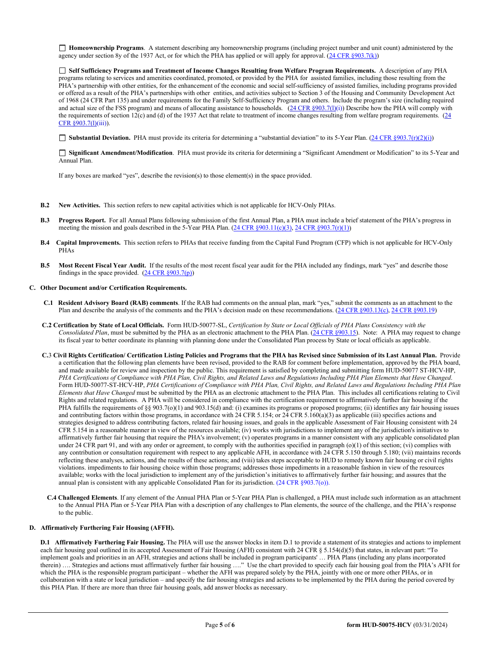**Homeownership Programs**. A statement describing any homeownership programs (including project number and unit count) administered by the agency under section 8y of the 1937 Act, or for which the PHA has applied or will apply for approval. [\(24 CFR §903.7\(k\)\)](http://ecfr.gpoaccess.gov/cgi/t/text/text-idx?c=ecfr&sid=b44bf19bef93dd31287608d2c687e271&rgn=div5&view=text&node=24:4.0.3.1.3&idno=24#24:4.0.3.1.3.2.5.5)

 **Self Sufficiency Programs and Treatment of Income Changes Resulting from Welfare Program Requirements.** A description of any PHA programs relating to services and amenities coordinated, promoted, or provided by the PHA for assisted families, including those resulting from the PHA's partnership with other entities, for the enhancement of the economic and social self-sufficiency of assisted families, including programs provided or offered as a result of the PHA's partnerships with other entities, and activities subject to Section 3 of the Housing and Community Development Act of 1968 (24 CFR Part 135) and under requirements for the Family Self-Sufficiency Program and others. Include the program's size (including required and actual size of the FSS program) and means of allocating assistance to households.  $(24 \text{ CFR } $903.7(l)(i))$  Describe how the PHA will comply with the requirements of section 12(c) and (d) of the 1937 Act that relate to treatment of income changes resulting from welfare program requirements.  $(24)$ [CFR §903.7\(l\)\(](http://ecfr.gpoaccess.gov/cgi/t/text/text-idx?c=ecfr&sid=13734845220744370804c20da2294a03&rgn=div5&view=text&node=24:4.0.3.1.3&idno=24#24:4.0.3.1.3.2.5.5)iii)).

**Substantial Deviation.** PHA must provide its criteria for determining a "substantial deviation" to its 5-Year Plan. [\(24 CFR §903.7\(r\)\(2\)\(i\)\)](http://ecfr.gpoaccess.gov/cgi/t/text/text-idx?c=ecfr&sid=13734845220744370804c20da2294a03&rgn=div5&view=text&node=24:4.0.3.1.3&idno=24#24:4.0.3.1.3.2.5.5)

 **Significant Amendment/Modification**. PHA must provide its criteria for determining a "Significant Amendment or Modification" to its 5-Year and Annual Plan.

If any boxes are marked "yes", describe the revision(s) to those element(s) in the space provided.

- **B.2 New Activities.** This section refers to new capital activities which is not applicable for HCV-Only PHAs.
- **B.3 Progress Report.** For all Annual Plans following submission of the first Annual Plan, a PHA must include a brief statement of the PHA's progress in meeting the mission and goals described in the 5-Year PHA Plan. ( $24 \text{ CFR } \text{\$903.11(c)(3), 24 CFR } \text{\$903.7(r)(1))}$
- **B.4 Capital Improvements.** This section refers to PHAs that receive funding from the Capital Fund Program (CFP) which is not applicable for HCV-Only PHAs
- **B.5 Most Recent Fiscal Year Audit.** If the results of the most recent fiscal year audit for the PHA included any findings, mark "yes" and describe those findings in the space provided.  $(24 \text{ CFR } \S 903.7(p))$

#### **C. Other Document and/or Certification Requirements.**

- **C.1 Resident Advisory Board (RAB) comments**. If the RAB had comments on the annual plan, mark "yes," submit the comments as an attachment to the Plan and describe the analysis of the comments and the PHA's decision made on these recommendations. [\(24 CFR §903.13\(c\),](http://ecfr.gpoaccess.gov/cgi/t/text/text-idx?c=ecfr&sid=13734845220744370804c20da2294a03&rgn=div5&view=text&node=24:4.0.3.1.3&idno=24#24:4.0.3.1.3.2.5.9) [24 CFR §903.19\)](http://ecfr.gpoaccess.gov/cgi/t/text/text-idx?c=ecfr&sid=f41eb312b1425d2a95a2478fde61e11f&rgn=div5&view=text&node=24:4.0.3.1.3&idno=24#24:4.0.3.1.3.2.5.12)
- **C.2 Certification by State of Local Officials.** Form HUD-50077-SL, *Certification by State or Local Officials of PHA Plans Consistency with the Consolidated Plan*, must be submitted by the PHA as an electronic attachment to the PHA Plan. [\(24 CFR §903.15\)](http://ecfr.gpoaccess.gov/cgi/t/text/text-idx?c=ecfr&sid=929855241bbc0873ac4be47579a4d2bf&rgn=div5&view=text&node=24:4.0.3.1.3&idno=24#24:4.0.3.1.3.2.5.10). Note: A PHA may request to change its fiscal year to better coordinate its planning with planning done under the Consolidated Plan process by State or local officials as applicable.
- **C.**3 **Civil Rights Certification/ Certification Listing Policies and Programs that the PHA has Revised since Submission of its Last Annual Plan.** Provide a certification that the following plan elements have been revised, provided to the RAB for comment before implementation, approved by the PHA board, and made available for review and inspection by the public. This requirement is satisfied by completing and submitting form HUD-50077 ST-HCV-HP, *PHA Certifications of Compliance with PHA Plan, Civil Rights, and Related Laws and Regulations Including PHA Plan Elements that Have Changed*. Form HUD-50077-ST-HCV-HP, *PHA Certifications of Compliance with PHA Plan, Civil Rights, and Related Laws and Regulations Including PHA Plan Elements that Have Changed* must be submitted by the PHA as an electronic attachment to the PHA Plan. This includes all certifications relating to Civil Rights and related regulations. A PHA will be considered in compliance with the certification requirement to affirmatively further fair housing if the PHA fulfills the requirements of §§ 903.7(o)(1) and 903.15(d) and: (i) examines its programs or proposed programs; (ii) identifies any fair housing issues and contributing factors within those programs, in accordance with 24 CFR 5.154; or 24 CFR 5.160(a)(3) as applicable (iii) specifies actions and strategies designed to address contributing factors, related fair housing issues, and goals in the applicable Assessment of Fair Housing consistent with 24 CFR 5.154 in a reasonable manner in view of the resources available; (iv) works with jurisdictions to implement any of the jurisdiction's initiatives to affirmatively further fair housing that require the PHA's involvement; (v) operates programs in a manner consistent with any applicable consolidated plan under 24 CFR part 91, and with any order or agreement, to comply with the authorities specified in paragraph  $(o)(1)$  of this section; (vi) complies with any contribution or consultation requirement with respect to any applicable AFH, in accordance with 24 CFR 5.150 through 5.180; (vii) maintains records reflecting these analyses, actions, and the results of these actions; and (viii) takes steps acceptable to HUD to remedy known fair housing or civil rights violations. impediments to fair housing choice within those programs; addresses those impediments in a reasonable fashion in view of the resources available; works with the local jurisdiction to implement any of the jurisdiction's initiatives to affirmatively further fair housing; and assures that the annual plan is consistent with any applicable Consolidated Plan for its jurisdiction. (24 CFR §903.7(o)).
- **C.4 Challenged Elements**. If any element of the Annual PHA Plan or 5-Year PHA Plan is challenged, a PHA must include such information as an attachment to the Annual PHA Plan or 5-Year PHA Plan with a description of any challenges to Plan elements, the source of the challenge, and the PHA's response to the public.

#### **D. Affirmatively Furthering Fair Housing (AFFH).**

**D.1 Affirmatively Furthering Fair Housing.** The PHA will use the answer blocks in item D.1 to provide a statement of its strategies and actions to implement each fair housing goal outlined in its accepted Assessment of Fair Housing (AFH) consistent with 24 CFR § 5.154(d)(5) that states, in relevant part: "To implement goals and priorities in an AFH, strategies and actions shall be included in program participants' … PHA Plans (including any plans incorporated therein) …. Strategies and actions must affirmatively further fair housing …." Use the chart provided to specify each fair housing goal from the PHA's AFH for which the PHA is the responsible program participant – whether the AFH was prepared solely by the PHA, jointly with one or more other PHAs, or in collaboration with a state or local jurisdiction – and specify the fair housing strategies and actions to be implemented by the PHA during the period covered by this PHA Plan. If there are more than three fair housing goals, add answer blocks as necessary.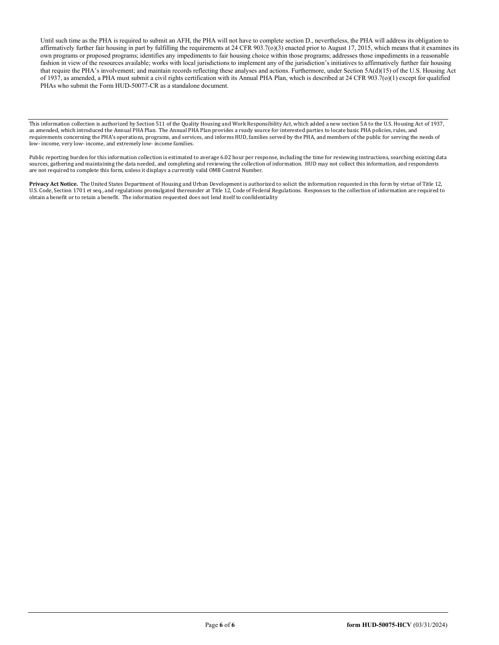Until such time as the PHA is required to submit an AFH, the PHA will not have to complete section D., nevertheless, the PHA will address its obligation to affirmatively further fair housing in part by fulfilling the requirements at 24 CFR 903.7( $o$ )(3) enacted prior to August 17, 2015, which means that it examines its own programs or proposed programs; identifies any impediments to fair housing choice within those programs; addresses those impediments in a reasonable fashion in view of the resources available; works with local jurisdictions to implement any of the jurisdiction's initiatives to affirmatively further fair housing that require the PHA's involvement; and maintain records reflecting these analyses and actions. Furthermore, under Section 5A(d)(15) of the U.S. Housing Act of 1937, as amended, a PHA must submit a civil rights certification with its Annual PHA Plan, which is described at 24 CFR  $903.7(0)(1)$  except for qualified PHAs who submit the Form HUD-50077-CR as a standalone document.

This information collection is authorized by Section 511 of the Quality Housing and Work Responsibility Act, which added a new section 5A to the U.S. Housing Act of 1937, as amended, which introduced the Annual PHA Plan. The Annual PHA Plan provides a ready source for interested parties to locate basic PHA policies, rules, and requirements concerning the PHA's operations, programs, and services, and informs HUD, families served by the PHA, and members of the public for serving the needs of low- income, very low- income, and extremely low- income families.

Public reporting burden for this information collection is estimated to average 6.02 hour per response, including the time for reviewing instructions, searching existing data sources, gathering and maintaining the data needed, and completing and reviewing the collection of information. HUD may not collect this information, and respondents are not required to complete this form, unless it displays a currently valid OMB Control Number.

**Privacy Act Notice.** The United States Department of Housing and Urban Development is authorized to solicit the information requested in this form by virtue of Title 12, U.S. Code, Section 1701 et seq., and regulations promulgated thereunder at Title 12, Code of Federal Regulations. Responses to the collection of information are required to obtain a benefit or to retain a benefit. The information requested does not lend itself to confidentiality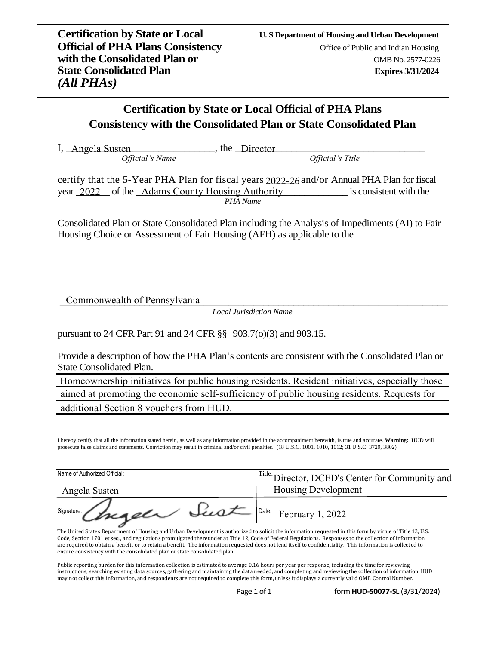## **Certification by State or Local Official of PHA Plans Consistency with the Consolidated Plan or State Consolidated Plan**

I, Angela Susten 1. The Director 1. The Angela Susten 1. The Oirector 1. The Oirector 1. The Oirector 1. The Oirector

*Official's Name Official's Title*

certify that the 5-Year PHA Plan for fiscal years 2022-26 and/or Annual PHA Plan for fiscal year 2022 of the Adams County Housing Authority is consistent with the *PHA Name*

Consolidated Plan or State Consolidated Plan including the Analysis of Impediments (AI) to Fair Housing Choice or Assessment of Fair Housing (AFH) as applicable to the

\_\_\_\_\_\_\_\_\_\_\_\_\_\_\_\_\_\_\_\_\_\_\_\_\_\_\_\_\_\_\_\_\_\_\_\_\_\_\_\_\_\_\_\_\_\_\_\_\_\_\_\_\_\_\_\_\_\_\_\_\_\_\_\_\_\_\_\_\_\_\_\_\_\_\_\_\_\_ Commonwealth of Pennsylvania

*Local Jurisdiction Name*

pursuant to 24 CFR Part 91 and 24 CFR §§ 903.7(o)(3) and 903.15.

Provide a description of how the PHA Plan's contents are consistent with the Consolidated Plan or State Consolidated Plan.

Homeownership initiatives for public housing residents. Resident initiatives, especially those aimed at promoting the economic self-sufficiency of public housing residents. Requests for additional Section 8 vouchers from HUD.

I hereby certify that all the information stated herein, as well as any information provided in the accompaniment herewith, is true and accurate. **Warning:** HUD will prosecute false claims and statements. Conviction may result in criminal and/or civil penalties. (18 U.S.C. 1001, 1010, 1012; 31 U.S.C. 3729, 3802)

| Name of Authorized Official: | <sup>Title:</sup> Director, DCED's Center for Community and |
|------------------------------|-------------------------------------------------------------|
| Angela Susten                | Housing Development                                         |
| signature: Changeler Sust    | $\sim$ $\sqrt{\frac{Date}{1}$ February 1, 2022              |

The United States Department of Housing and Urban Development is authorized to solicit the information requested in this form by virtue of Title 12, U.S. Code, Section 1701 et seq., and regulations promulgated thereunder at Title 12, Code of Federal Regulations. Responses to the collection of information are required to obtain a benefit or to retain a benefit. The information requested does not lend itself to confidentiality. This information is collected to ensure consistency with the consolidated plan or state consolidated plan.

Public reporting burden for this information collection is estimated to average 0.16 hours per year per response, including the time for reviewing instructions, searching existing data sources, gathering and maintaining the data needed, and completing and reviewing the collection of information. HUD may not collect this information, and respondents are not required to complete this form, unless it displays a currently valid OMB Control Number.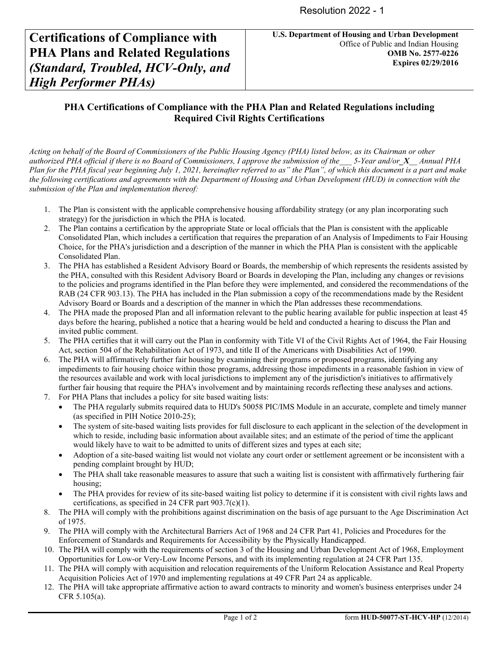# **Certifications of Compliance with PHA Plans and Related Regulations** *(Standard, Troubled, HCV-Only, and High Performer PHAs)*

#### **PHA Certifications of Compliance with the PHA Plan and Related Regulations including Required Civil Rights Certifications**

*Acting on behalf of the Board of Commissioners of the Public Housing Agency (PHA) listed below, as its Chairman or other authorized PHA official if there is no Board of Commissioners, I approve the submission of the\_\_\_ 5-Year and/or\_X\_\_ Annual PHA Plan for the PHA fiscal year beginning July 1, 2021, hereinafter referred to as" the Plan", of which this document is a part and make the following certifications and agreements with the Department of Housing and Urban Development (HUD) in connection with the submission of the Plan and implementation thereof:* 

- 1. The Plan is consistent with the applicable comprehensive housing affordability strategy (or any plan incorporating such strategy) for the jurisdiction in which the PHA is located.
- 2. The Plan contains a certification by the appropriate State or local officials that the Plan is consistent with the applicable Consolidated Plan, which includes a certification that requires the preparation of an Analysis of Impediments to Fair Housing Choice, for the PHA's jurisdiction and a description of the manner in which the PHA Plan is consistent with the applicable Consolidated Plan.
- 3. The PHA has established a Resident Advisory Board or Boards, the membership of which represents the residents assisted by the PHA, consulted with this Resident Advisory Board or Boards in developing the Plan, including any changes or revisions to the policies and programs identified in the Plan before they were implemented, and considered the recommendations of the RAB (24 CFR 903.13). The PHA has included in the Plan submission a copy of the recommendations made by the Resident Advisory Board or Boards and a description of the manner in which the Plan addresses these recommendations.
- 4. The PHA made the proposed Plan and all information relevant to the public hearing available for public inspection at least 45 days before the hearing, published a notice that a hearing would be held and conducted a hearing to discuss the Plan and invited public comment.
- 5. The PHA certifies that it will carry out the Plan in conformity with Title VI of the Civil Rights Act of 1964, the Fair Housing Act, section 504 of the Rehabilitation Act of 1973, and title II of the Americans with Disabilities Act of 1990.
- 6. The PHA will affirmatively further fair housing by examining their programs or proposed programs, identifying any impediments to fair housing choice within those programs, addressing those impediments in a reasonable fashion in view of the resources available and work with local jurisdictions to implement any of the jurisdiction's initiatives to affirmatively further fair housing that require the PHA's involvement and by maintaining records reflecting these analyses and actions.
- 7. For PHA Plans that includes a policy for site based waiting lists:
	- The PHA regularly submits required data to HUD's 50058 PIC/IMS Module in an accurate, complete and timely manner (as specified in PIH Notice 2010-25);
	- The system of site-based waiting lists provides for full disclosure to each applicant in the selection of the development in which to reside, including basic information about available sites; and an estimate of the period of time the applicant would likely have to wait to be admitted to units of different sizes and types at each site;
	- Adoption of a site-based waiting list would not violate any court order or settlement agreement or be inconsistent with a pending complaint brought by HUD;
	- The PHA shall take reasonable measures to assure that such a waiting list is consistent with affirmatively furthering fair housing;
	- The PHA provides for review of its site-based waiting list policy to determine if it is consistent with civil rights laws and certifications, as specified in 24 CFR part 903.7(c)(1).
- 8. The PHA will comply with the prohibitions against discrimination on the basis of age pursuant to the Age Discrimination Act of 1975.
- 9. The PHA will comply with the Architectural Barriers Act of 1968 and 24 CFR Part 41, Policies and Procedures for the Enforcement of Standards and Requirements for Accessibility by the Physically Handicapped.
- 10. The PHA will comply with the requirements of section 3 of the Housing and Urban Development Act of 1968, Employment Opportunities for Low-or Very-Low Income Persons, and with its implementing regulation at 24 CFR Part 135.
- 11. The PHA will comply with acquisition and relocation requirements of the Uniform Relocation Assistance and Real Property Acquisition Policies Act of 1970 and implementing regulations at 49 CFR Part 24 as applicable.
- 12. The PHA will take appropriate affirmative action to award contracts to minority and women's business enterprises under 24 CFR 5.105(a).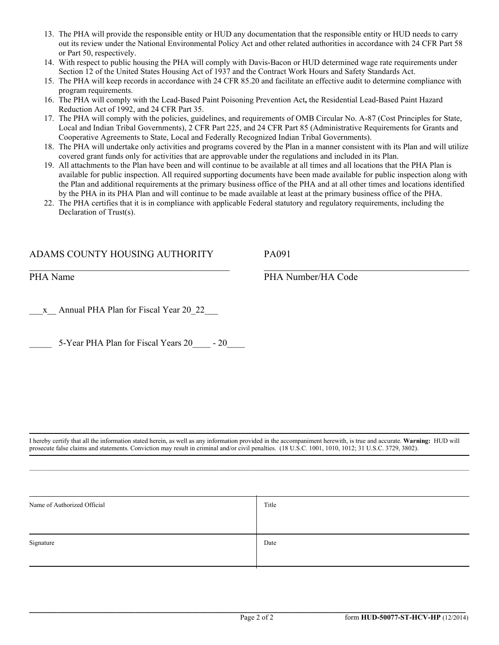- 13. The PHA will provide the responsible entity or HUD any documentation that the responsible entity or HUD needs to carry out its review under the National Environmental Policy Act and other related authorities in accordance with 24 CFR Part 58 or Part 50, respectively.
- 14. With respect to public housing the PHA will comply with Davis-Bacon or HUD determined wage rate requirements under Section 12 of the United States Housing Act of 1937 and the Contract Work Hours and Safety Standards Act.
- 15. The PHA will keep records in accordance with 24 CFR 85.20 and facilitate an effective audit to determine compliance with program requirements.
- 16. The PHA will comply with the Lead-Based Paint Poisoning Prevention Act**,** the Residential Lead-Based Paint Hazard Reduction Act of 1992, and 24 CFR Part 35.
- 17. The PHA will comply with the policies, guidelines, and requirements of OMB Circular No. A-87 (Cost Principles for State, Local and Indian Tribal Governments), 2 CFR Part 225, and 24 CFR Part 85 (Administrative Requirements for Grants and Cooperative Agreements to State, Local and Federally Recognized Indian Tribal Governments).
- 18. The PHA will undertake only activities and programs covered by the Plan in a manner consistent with its Plan and will utilize covered grant funds only for activities that are approvable under the regulations and included in its Plan.
- 19. All attachments to the Plan have been and will continue to be available at all times and all locations that the PHA Plan is available for public inspection. All required supporting documents have been made available for public inspection along with the Plan and additional requirements at the primary business office of the PHA and at all other times and locations identified by the PHA in its PHA Plan and will continue to be made available at least at the primary business office of the PHA.
- 22. The PHA certifies that it is in compliance with applicable Federal statutory and regulatory requirements, including the Declaration of Trust(s).

#### ADAMS COUNTY HOUSING AUTHORITY

 $\overline{\mathcal{L}}$  , and the contribution of the contribution of  $\overline{\mathcal{L}}$ 

PA091

PHA Name

PHA Number/HA Code

 $\overline{\mathcal{L}}$  , and the contribution of the contribution of  $\overline{\mathcal{L}}$ 

x Annual PHA Plan for Fiscal Year 20 22

5-Year PHA Plan for Fiscal Years 20  $-20$ 

I hereby certify that all the information stated herein, as well as any information provided in the accompaniment herewith, is true and accurate. **Warning:** HUD will prosecute false claims and statements. Conviction may result in criminal and/or civil penalties. (18 U.S.C. 1001, 1010, 1012; 31 U.S.C. 3729, 3802).

 $\mathcal{L} = \{ \mathcal{L} = \{ \mathcal{L} = \{ \mathcal{L} = \{ \mathcal{L} = \{ \mathcal{L} = \{ \mathcal{L} = \{ \mathcal{L} = \{ \mathcal{L} = \{ \mathcal{L} = \{ \mathcal{L} = \{ \mathcal{L} = \{ \mathcal{L} = \{ \mathcal{L} = \{ \mathcal{L} = \{ \mathcal{L} = \{ \mathcal{L} = \{ \mathcal{L} = \{ \mathcal{L} = \{ \mathcal{L} = \{ \mathcal{L} = \{ \mathcal{L} = \{ \mathcal{L} = \{ \mathcal{L} = \{ \mathcal{$ 

| Name of Authorized Official | Title |
|-----------------------------|-------|
|                             |       |
| Signature                   | Date  |
|                             |       |